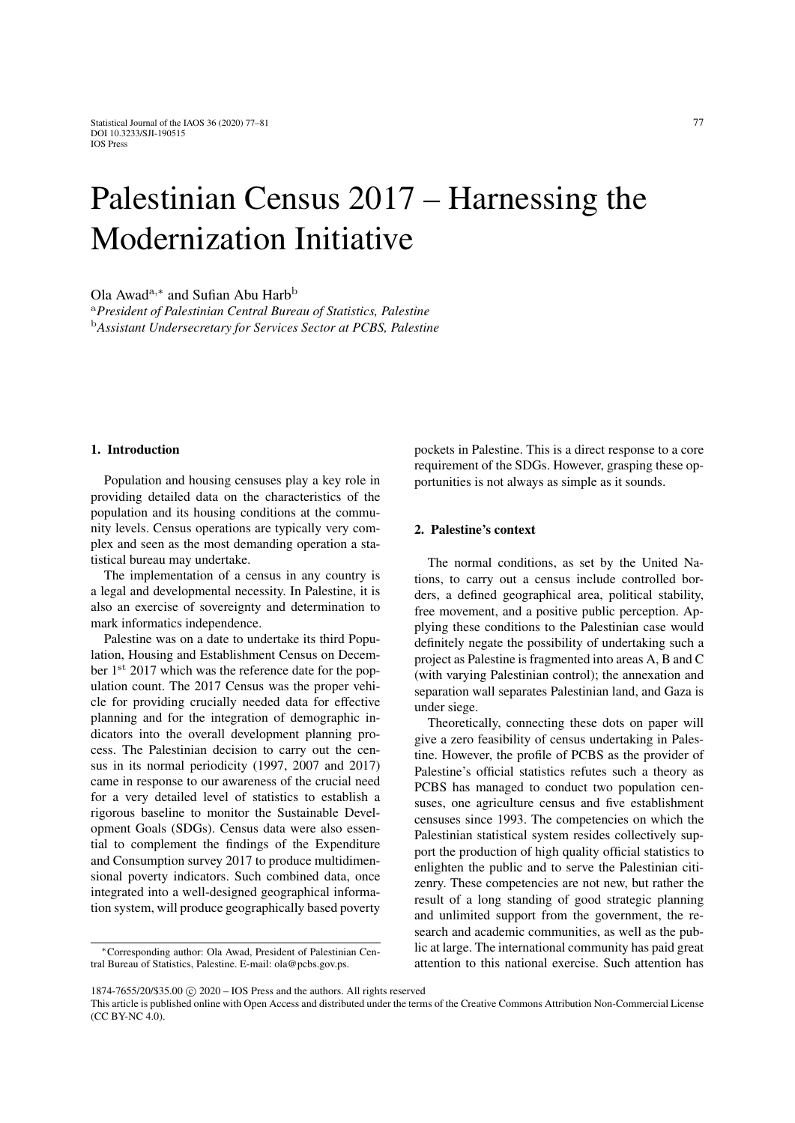# Palestinian Census 2017 – Harnessing the Modernization Initiative

Ola Awad<sup>a,∗</sup> and Sufian Abu Harb<sup>b</sup>

<sup>a</sup>*President of Palestinian Central Bureau of Statistics, Palestine* <sup>b</sup>*Assistant Undersecretary for Services Sector at PCBS, Palestine*

# 1. Introduction

Population and housing censuses play a key role in providing detailed data on the characteristics of the population and its housing conditions at the community levels. Census operations are typically very complex and seen as the most demanding operation a statistical bureau may undertake.

The implementation of a census in any country is a legal and developmental necessity. In Palestine, it is also an exercise of sovereignty and determination to mark informatics independence.

Palestine was on a date to undertake its third Population, Housing and Establishment Census on December  $1<sup>st</sup>$  2017 which was the reference date for the population count. The 2017 Census was the proper vehicle for providing crucially needed data for effective planning and for the integration of demographic indicators into the overall development planning process. The Palestinian decision to carry out the census in its normal periodicity (1997, 2007 and 2017) came in response to our awareness of the crucial need for a very detailed level of statistics to establish a rigorous baseline to monitor the Sustainable Development Goals (SDGs). Census data were also essential to complement the findings of the Expenditure and Consumption survey 2017 to produce multidimensional poverty indicators. Such combined data, once integrated into a well-designed geographical information system, will produce geographically based poverty pockets in Palestine. This is a direct response to a core requirement of the SDGs. However, grasping these opportunities is not always as simple as it sounds.

## 2. Palestine's context

The normal conditions, as set by the United Nations, to carry out a census include controlled borders, a defined geographical area, political stability, free movement, and a positive public perception. Applying these conditions to the Palestinian case would definitely negate the possibility of undertaking such a project as Palestine is fragmented into areas A, B and C (with varying Palestinian control); the annexation and separation wall separates Palestinian land, and Gaza is under siege.

Theoretically, connecting these dots on paper will give a zero feasibility of census undertaking in Palestine. However, the profile of PCBS as the provider of Palestine's official statistics refutes such a theory as PCBS has managed to conduct two population censuses, one agriculture census and five establishment censuses since 1993. The competencies on which the Palestinian statistical system resides collectively support the production of high quality official statistics to enlighten the public and to serve the Palestinian citizenry. These competencies are not new, but rather the result of a long standing of good strategic planning and unlimited support from the government, the research and academic communities, as well as the public at large. The international community has paid great attention to this national exercise. Such attention has

<sup>∗</sup>Corresponding author: Ola Awad, President of Palestinian Central Bureau of Statistics, Palestine. E-mail: ola@pcbs.gov.ps.

<sup>1874-7655/20/\$35.00 © 2020 -</sup> IOS Press and the authors. All rights reserved

This article is published online with Open Access and distributed under the terms of the Creative Commons Attribution Non-Commercial License (CC BY-NC 4.0).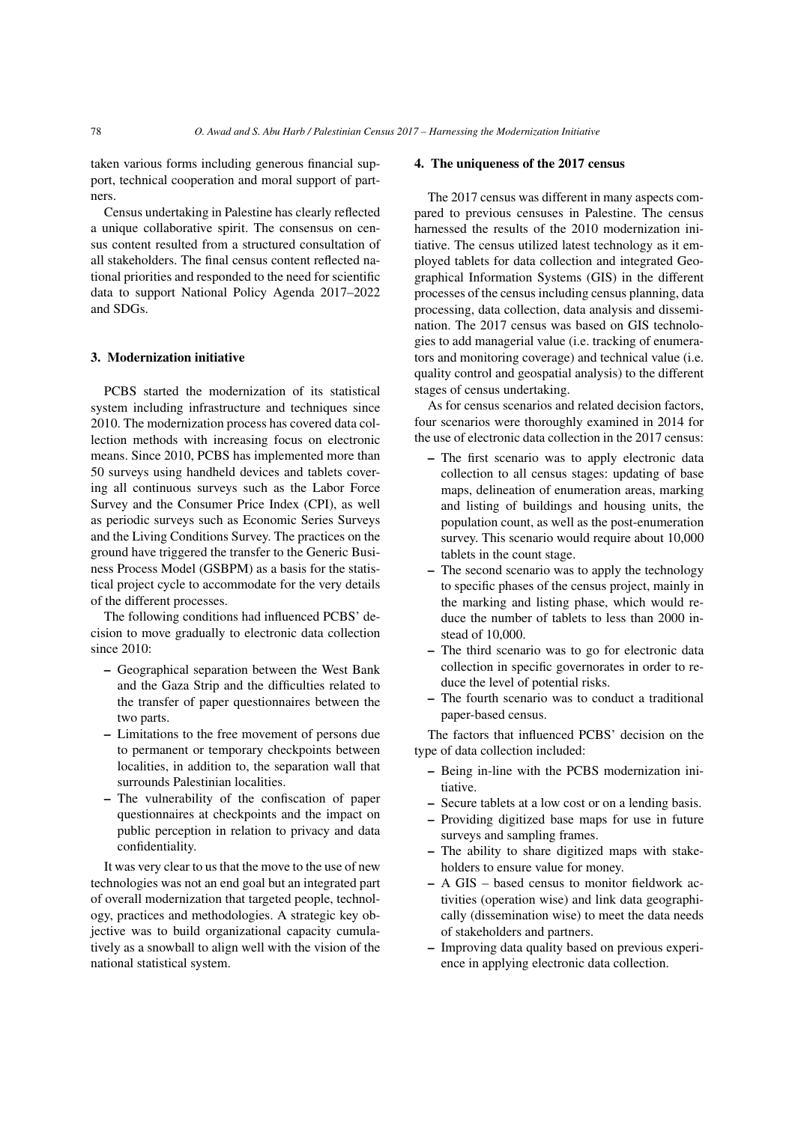taken various forms including generous financial support, technical cooperation and moral support of partners.

Census undertaking in Palestine has clearly reflected a unique collaborative spirit. The consensus on census content resulted from a structured consultation of all stakeholders. The final census content reflected national priorities and responded to the need for scientific data to support National Policy Agenda 2017–2022 and SDGs.

#### 3. Modernization initiative

PCBS started the modernization of its statistical system including infrastructure and techniques since 2010. The modernization process has covered data collection methods with increasing focus on electronic means. Since 2010, PCBS has implemented more than 50 surveys using handheld devices and tablets covering all continuous surveys such as the Labor Force Survey and the Consumer Price Index (CPI), as well as periodic surveys such as Economic Series Surveys and the Living Conditions Survey. The practices on the ground have triggered the transfer to the Generic Business Process Model (GSBPM) as a basis for the statistical project cycle to accommodate for the very details of the different processes.

The following conditions had influenced PCBS' decision to move gradually to electronic data collection since 2010:

- Geographical separation between the West Bank and the Gaza Strip and the difficulties related to the transfer of paper questionnaires between the two parts.
- Limitations to the free movement of persons due to permanent or temporary checkpoints between localities, in addition to, the separation wall that surrounds Palestinian localities.
- The vulnerability of the confiscation of paper questionnaires at checkpoints and the impact on public perception in relation to privacy and data confidentiality.

It was very clear to us that the move to the use of new technologies was not an end goal but an integrated part of overall modernization that targeted people, technology, practices and methodologies. A strategic key objective was to build organizational capacity cumulatively as a snowball to align well with the vision of the national statistical system.

#### 4. The uniqueness of the 2017 census

The 2017 census was different in many aspects compared to previous censuses in Palestine. The census harnessed the results of the 2010 modernization initiative. The census utilized latest technology as it employed tablets for data collection and integrated Geographical Information Systems (GIS) in the different processes of the census including census planning, data processing, data collection, data analysis and dissemination. The 2017 census was based on GIS technologies to add managerial value (i.e. tracking of enumerators and monitoring coverage) and technical value (i.e. quality control and geospatial analysis) to the different stages of census undertaking.

As for census scenarios and related decision factors, four scenarios were thoroughly examined in 2014 for the use of electronic data collection in the 2017 census:

- The first scenario was to apply electronic data collection to all census stages: updating of base maps, delineation of enumeration areas, marking and listing of buildings and housing units, the population count, as well as the post-enumeration survey. This scenario would require about 10,000 tablets in the count stage.
- The second scenario was to apply the technology to specific phases of the census project, mainly in the marking and listing phase, which would reduce the number of tablets to less than 2000 instead of 10,000.
- The third scenario was to go for electronic data collection in specific governorates in order to reduce the level of potential risks.
- The fourth scenario was to conduct a traditional paper-based census.

The factors that influenced PCBS' decision on the type of data collection included:

- Being in-line with the PCBS modernization initiative.
- Secure tablets at a low cost or on a lending basis.
- Providing digitized base maps for use in future surveys and sampling frames.
- The ability to share digitized maps with stakeholders to ensure value for money.
- A GIS based census to monitor fieldwork activities (operation wise) and link data geographically (dissemination wise) to meet the data needs of stakeholders and partners.
- Improving data quality based on previous experience in applying electronic data collection.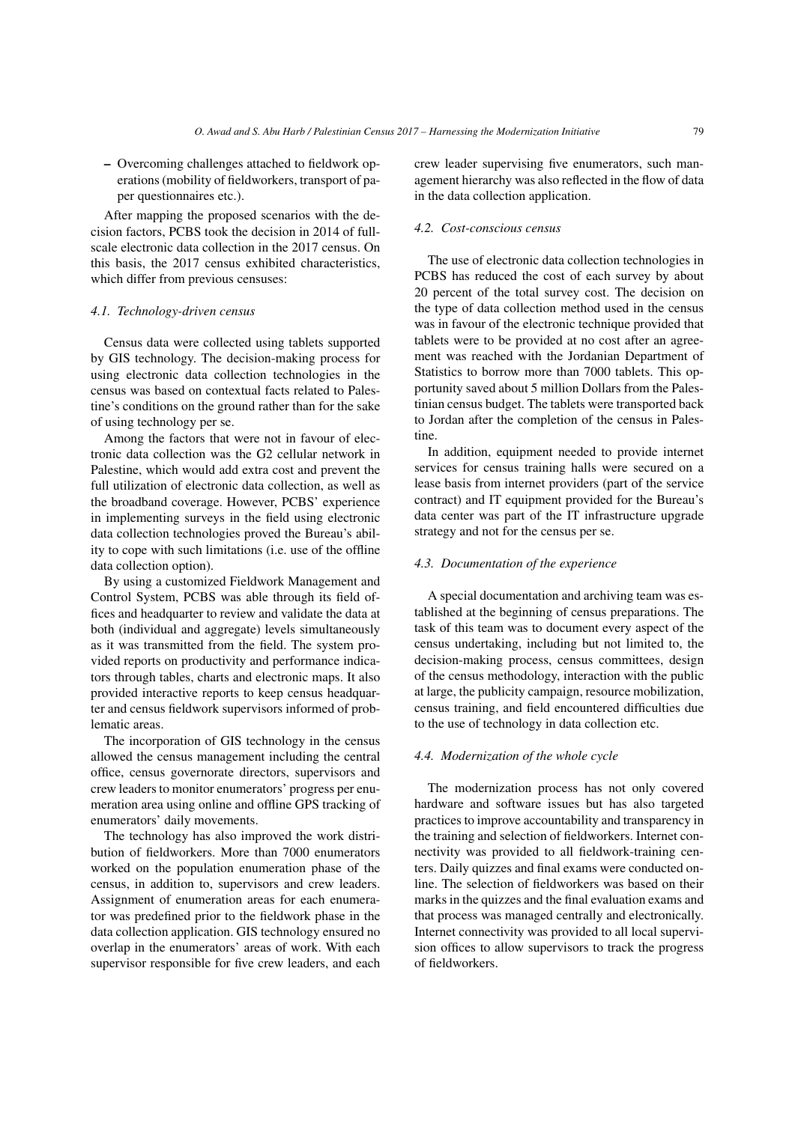– Overcoming challenges attached to fieldwork operations (mobility of fieldworkers, transport of paper questionnaires etc.).

After mapping the proposed scenarios with the decision factors, PCBS took the decision in 2014 of fullscale electronic data collection in the 2017 census. On this basis, the 2017 census exhibited characteristics, which differ from previous censuses:

#### *4.1. Technology-driven census*

Census data were collected using tablets supported by GIS technology. The decision-making process for using electronic data collection technologies in the census was based on contextual facts related to Palestine's conditions on the ground rather than for the sake of using technology per se.

Among the factors that were not in favour of electronic data collection was the G2 cellular network in Palestine, which would add extra cost and prevent the full utilization of electronic data collection, as well as the broadband coverage. However, PCBS' experience in implementing surveys in the field using electronic data collection technologies proved the Bureau's ability to cope with such limitations (i.e. use of the offline data collection option).

By using a customized Fieldwork Management and Control System, PCBS was able through its field offices and headquarter to review and validate the data at both (individual and aggregate) levels simultaneously as it was transmitted from the field. The system provided reports on productivity and performance indicators through tables, charts and electronic maps. It also provided interactive reports to keep census headquarter and census fieldwork supervisors informed of problematic areas.

The incorporation of GIS technology in the census allowed the census management including the central office, census governorate directors, supervisors and crew leaders to monitor enumerators' progress per enumeration area using online and offline GPS tracking of enumerators' daily movements.

The technology has also improved the work distribution of fieldworkers. More than 7000 enumerators worked on the population enumeration phase of the census, in addition to, supervisors and crew leaders. Assignment of enumeration areas for each enumerator was predefined prior to the fieldwork phase in the data collection application. GIS technology ensured no overlap in the enumerators' areas of work. With each supervisor responsible for five crew leaders, and each crew leader supervising five enumerators, such management hierarchy was also reflected in the flow of data in the data collection application.

### *4.2. Cost-conscious census*

The use of electronic data collection technologies in PCBS has reduced the cost of each survey by about 20 percent of the total survey cost. The decision on the type of data collection method used in the census was in favour of the electronic technique provided that tablets were to be provided at no cost after an agreement was reached with the Jordanian Department of Statistics to borrow more than 7000 tablets. This opportunity saved about 5 million Dollars from the Palestinian census budget. The tablets were transported back to Jordan after the completion of the census in Palestine.

In addition, equipment needed to provide internet services for census training halls were secured on a lease basis from internet providers (part of the service contract) and IT equipment provided for the Bureau's data center was part of the IT infrastructure upgrade strategy and not for the census per se.

## *4.3. Documentation of the experience*

A special documentation and archiving team was established at the beginning of census preparations. The task of this team was to document every aspect of the census undertaking, including but not limited to, the decision-making process, census committees, design of the census methodology, interaction with the public at large, the publicity campaign, resource mobilization, census training, and field encountered difficulties due to the use of technology in data collection etc.

#### *4.4. Modernization of the whole cycle*

The modernization process has not only covered hardware and software issues but has also targeted practices to improve accountability and transparency in the training and selection of fieldworkers. Internet connectivity was provided to all fieldwork-training centers. Daily quizzes and final exams were conducted online. The selection of fieldworkers was based on their marks in the quizzes and the final evaluation exams and that process was managed centrally and electronically. Internet connectivity was provided to all local supervision offices to allow supervisors to track the progress of fieldworkers.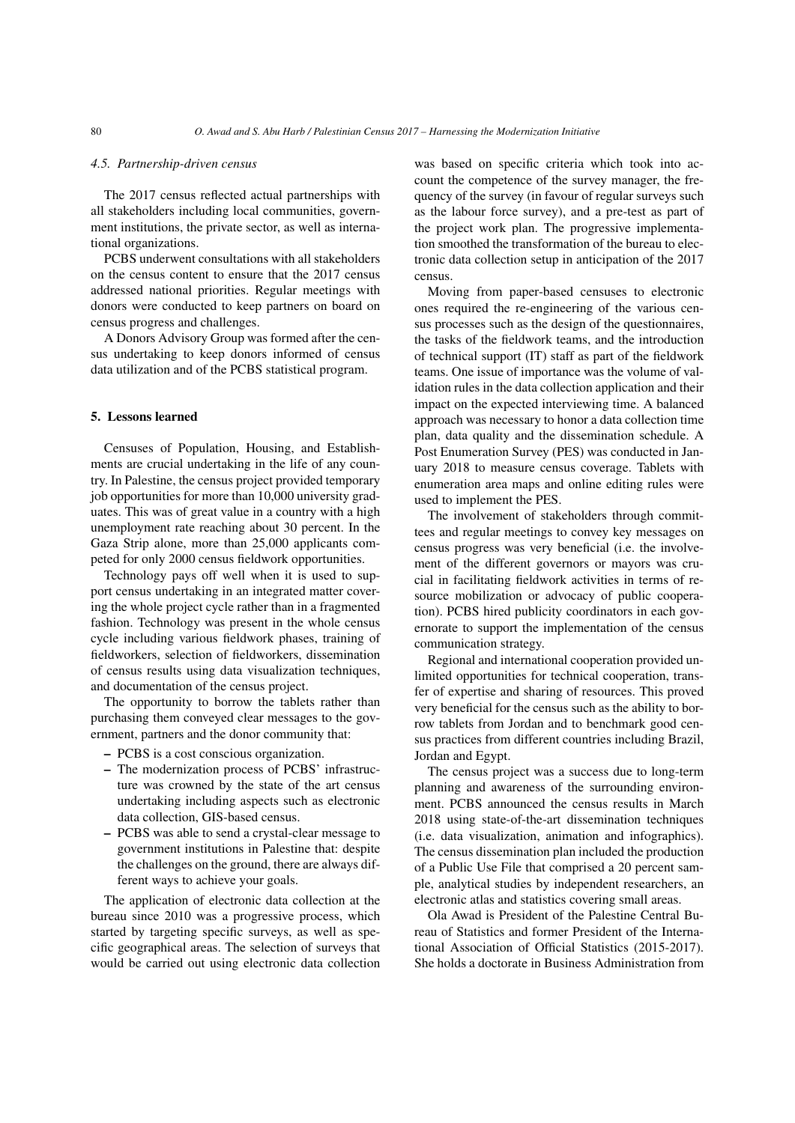#### *4.5. Partnership-driven census*

The 2017 census reflected actual partnerships with all stakeholders including local communities, government institutions, the private sector, as well as international organizations.

PCBS underwent consultations with all stakeholders on the census content to ensure that the 2017 census addressed national priorities. Regular meetings with donors were conducted to keep partners on board on census progress and challenges.

A Donors Advisory Group was formed after the census undertaking to keep donors informed of census data utilization and of the PCBS statistical program.

# 5. Lessons learned

Censuses of Population, Housing, and Establishments are crucial undertaking in the life of any country. In Palestine, the census project provided temporary job opportunities for more than 10,000 university graduates. This was of great value in a country with a high unemployment rate reaching about 30 percent. In the Gaza Strip alone, more than 25,000 applicants competed for only 2000 census fieldwork opportunities.

Technology pays off well when it is used to support census undertaking in an integrated matter covering the whole project cycle rather than in a fragmented fashion. Technology was present in the whole census cycle including various fieldwork phases, training of fieldworkers, selection of fieldworkers, dissemination of census results using data visualization techniques, and documentation of the census project.

The opportunity to borrow the tablets rather than purchasing them conveyed clear messages to the government, partners and the donor community that:

- PCBS is a cost conscious organization.
- The modernization process of PCBS' infrastructure was crowned by the state of the art census undertaking including aspects such as electronic data collection, GIS-based census.
- PCBS was able to send a crystal-clear message to government institutions in Palestine that: despite the challenges on the ground, there are always different ways to achieve your goals.

The application of electronic data collection at the bureau since 2010 was a progressive process, which started by targeting specific surveys, as well as specific geographical areas. The selection of surveys that would be carried out using electronic data collection was based on specific criteria which took into account the competence of the survey manager, the frequency of the survey (in favour of regular surveys such as the labour force survey), and a pre-test as part of the project work plan. The progressive implementation smoothed the transformation of the bureau to electronic data collection setup in anticipation of the 2017 census.

Moving from paper-based censuses to electronic ones required the re-engineering of the various census processes such as the design of the questionnaires, the tasks of the fieldwork teams, and the introduction of technical support (IT) staff as part of the fieldwork teams. One issue of importance was the volume of validation rules in the data collection application and their impact on the expected interviewing time. A balanced approach was necessary to honor a data collection time plan, data quality and the dissemination schedule. A Post Enumeration Survey (PES) was conducted in January 2018 to measure census coverage. Tablets with enumeration area maps and online editing rules were used to implement the PES.

The involvement of stakeholders through committees and regular meetings to convey key messages on census progress was very beneficial (i.e. the involvement of the different governors or mayors was crucial in facilitating fieldwork activities in terms of resource mobilization or advocacy of public cooperation). PCBS hired publicity coordinators in each governorate to support the implementation of the census communication strategy.

Regional and international cooperation provided unlimited opportunities for technical cooperation, transfer of expertise and sharing of resources. This proved very beneficial for the census such as the ability to borrow tablets from Jordan and to benchmark good census practices from different countries including Brazil, Jordan and Egypt.

The census project was a success due to long-term planning and awareness of the surrounding environment. PCBS announced the census results in March 2018 using state-of-the-art dissemination techniques (i.e. data visualization, animation and infographics). The census dissemination plan included the production of a Public Use File that comprised a 20 percent sample, analytical studies by independent researchers, an electronic atlas and statistics covering small areas.

Ola Awad is President of the Palestine Central Bureau of Statistics and former President of the International Association of Official Statistics (2015-2017). She holds a doctorate in Business Administration from